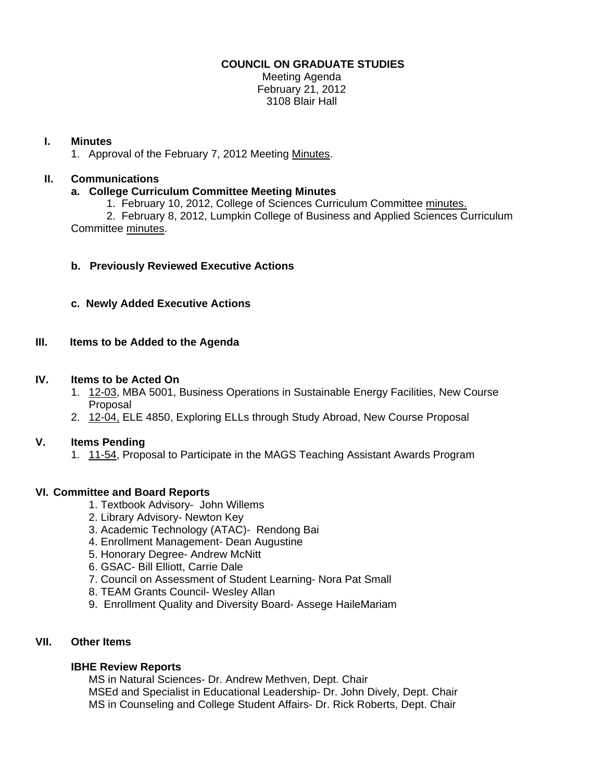## **COUNCIL ON GRADUATE STUDIES**

Meeting Agenda February 21, 2012 3108 Blair Hall

### **I. Minutes**

1. Approval of the February 7, 2012 Meeti[ng Minutes.](http://castle.eiu.edu/eiucgs/currentminutes/Minutes2-7-12.pdf) 

# **II. Communications**

## **a. College Curriculum Committee Meeting Minutes**

1. February 10, 2012, College of Sciences Curriculum Committe[e minutes.](http://castle.eiu.edu/~eiucgs/currentagendaitems/COSMin2-10-12.pdf)

 2. February 8, 2012, Lumpkin College of Business and Applied Sciences Curriculum Committe[e minutes.](http://castle.eiu.edu/~eiucgs/currentagendaitems/LCBASMin2-8-12.pdf) 

## **b. Previously Reviewed Executive Actions**

**c. Newly Added Executive Actions** 

## **III. Items to be Added to the Agenda**

#### **IV. Items to be Acted On**

- 1[. 12-03, MB](http://castle.eiu.edu/~eiucgs/currentagendaitems/agenda12-03.pdf)A 5001, Business Operations in Sustainable Energy Facilities, New Course Proposal
- 2. [12-04, EL](http://castle.eiu.edu/~eiucgs/currentagendaitems/agenda12-04.pdf)E 4850, Exploring ELLs through Study Abroad, New Course Proposal

## **V. Items Pending**

1. [11-54, Pro](http://castle.eiu.edu/~eiucgs/currentagendaitems/agenda11-54.pdf)posal to Participate in the MAGS Teaching Assistant Awards Program

## **VI. Committee and Board Reports**

- 1. Textbook Advisory- John Willems
- 2. Library Advisory- Newton Key
- 3. Academic Technology (ATAC)- Rendong Bai
- 4. Enrollment Management- Dean Augustine
- 5. Honorary Degree- Andrew McNitt
- 6. GSAC- Bill Elliott, Carrie Dale
- 7. Council on Assessment of Student Learning- Nora Pat Small
- 8. TEAM Grants Council- Wesley Allan
- 9. Enrollment Quality and Diversity Board- Assege HaileMariam

#### **VII. Other Items**

#### **IBHE Review Reports**

MS in Natural Sciences- Dr. Andrew Methven, Dept. Chair MSEd and Specialist in Educational Leadership- Dr. John Dively, Dept. Chair MS in Counseling and College Student Affairs- Dr. Rick Roberts, Dept. Chair